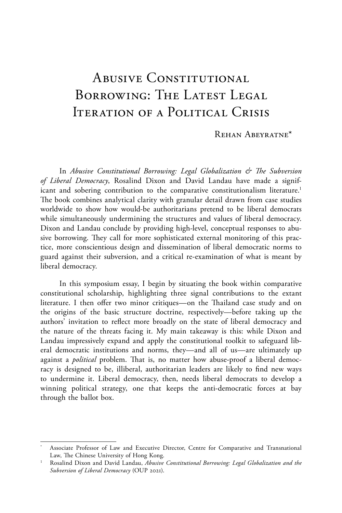# ABUSIVE CONSTITUTIONAL BORROWING: THE LATEST LEGAL Iteration of a Political Crisis

#### Rehan Abeyratne\*

In *Abusive Constitutional Borrowing: Legal Globalization & The Subversion of Liberal Democracy*, Rosalind Dixon and David Landau have made a significant and sobering contribution to the comparative constitutionalism literature.<sup>1</sup> The book combines analytical clarity with granular detail drawn from case studies worldwide to show how would-be authoritarians pretend to be liberal democrats while simultaneously undermining the structures and values of liberal democracy. Dixon and Landau conclude by providing high-level, conceptual responses to abusive borrowing. They call for more sophisticated external monitoring of this practice, more conscientious design and dissemination of liberal democratic norms to guard against their subversion, and a critical re-examination of what is meant by liberal democracy.

In this symposium essay, I begin by situating the book within comparative constitutional scholarship, highlighting three signal contributions to the extant literature. I then offer two minor critiques—on the Thailand case study and on the origins of the basic structure doctrine, respectively—before taking up the authors' invitation to reflect more broadly on the state of liberal democracy and the nature of the threats facing it. My main takeaway is this: while Dixon and Landau impressively expand and apply the constitutional toolkit to safeguard liberal democratic institutions and norms, they—and all of us—are ultimately up against a *political* problem. That is, no matter how abuse-proof a liberal democracy is designed to be, illiberal, authoritarian leaders are likely to find new ways to undermine it. Liberal democracy, then, needs liberal democrats to develop a winning political strategy, one that keeps the anti-democratic forces at bay through the ballot box.

Associate Professor of Law and Executive Director, Centre for Comparative and Transnational Law, The Chinese University of Hong Kong.

<sup>1</sup> Rosalind Dixon and David Landau, *Abusive Constitutional Borrowing: Legal Globalization and the Subversion of Liberal Democracy* (OUP 2021).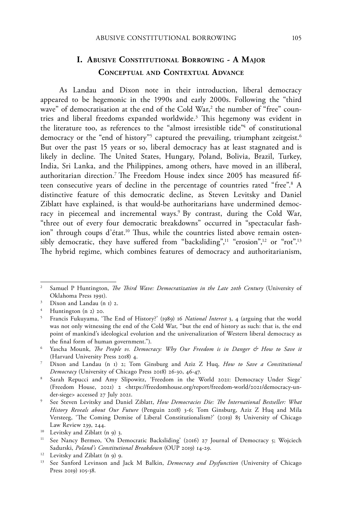## **I. Abusive Constitutional Borrowing - A Major Conceptual and Contextual Advance**

As Landau and Dixon note in their introduction, liberal democracy appeared to be hegemonic in the 1990s and early 2000s. Following the "third wave" of democratisation at the end of the Cold War,<sup>2</sup> the number of "free" countries and liberal freedoms expanded worldwide.<sup>3</sup> This hegemony was evident in the literature too, as references to the "almost irresistible tide"<sup>4</sup> of constitutional democracy or the "end of history"<sup>5</sup> captured the prevailing, triumphant zeitgeist.<sup>6</sup> But over the past 15 years or so, liberal democracy has at least stagnated and is likely in decline. The United States, Hungary, Poland, Bolivia, Brazil, Turkey, India, Sri Lanka, and the Philippines, among others, have moved in an illiberal, authoritarian direction.7 The Freedom House index since 2005 has measured fifteen consecutive years of decline in the percentage of countries rated "free".8 A distinctive feature of this democratic decline, as Steven Levitsky and Daniel Ziblatt have explained, is that would-be authoritarians have undermined democracy in piecemeal and incremental ways.<sup>9</sup> By contrast, during the Cold War, "three out of every four democratic breakdowns" occurred in "spectacular fashion" through coups d'état.<sup>10</sup> Thus, while the countries listed above remain ostensibly democratic, they have suffered from "backsliding",<sup>11</sup> "erosion",<sup>12</sup> or "rot".<sup>13</sup> The hybrid regime, which combines features of democracy and authoritarianism,

<sup>2</sup> Samuel P Huntington, *The Third Wave: Democratization in the Late 20th Century* (University of Oklahoma Press 1991).

 $3$  Dixon and Landau (n 1) 2.

<sup>4</sup> Huntington (n 2) 20.

<sup>5</sup> Francis Fukuyama, 'The End of History?' (1989) 16 *National Interest* 3, 4 (arguing that the world was not only witnessing the end of the Cold War, "but the end of history as such: that is, the end point of mankind's ideological evolution and the universalization of Western liberal democracy as the final form of human government.").

<sup>6</sup> Yascha Mounk, *The People vs. Democracy: Why Our Freedom is in Danger & How to Save it* (Harvard University Press 2018) 4.

<sup>7</sup> Dixon and Landau (n 1) 2; Tom Ginsburg and Aziz Z Huq, *How to Save a Constitutional Democracy* (University of Chicago Press 2018) 26-30, 46-47.

<sup>8</sup> Sarah Repucci and Amy Slipowitz, 'Freedom in the World 2021: Democracy Under Siege' (Freedom House, 2021) 2 <https://freedomhouse.org/report/freedom-world/2021/democracy-under-siege> accessed 27 July 2021.

<sup>9</sup> See Steven Levitsky and Daniel Ziblatt, *How Democracies Die: The International Bestseller: What History Reveals about Our Future* (Penguin 2018) 3-6; Tom Ginsburg, Aziz Z Huq and Mila Versteeg, 'The Coming Demise of Liberal Constitutionalism?' (2019) 85 University of Chicago Law Review 239, 244.

<sup>&</sup>lt;sup>10</sup> Levitsky and Ziblatt (n 9) 3.

<sup>&</sup>lt;sup>11</sup> See Nancy Bermeo, 'On Democratic Backsliding' (2016) 27 Journal of Democracy 5; Wojciech Sadurski, *Poland's Constitutional Breakdown* (OUP 2019) 14-29.

<sup>&</sup>lt;sup>12</sup> Levitsky and Ziblatt (n 9) 9.

<sup>13</sup> See Sanford Levinson and Jack M Balkin, *Democracy and Dysfunction* (University of Chicago Press 2019) 105-38.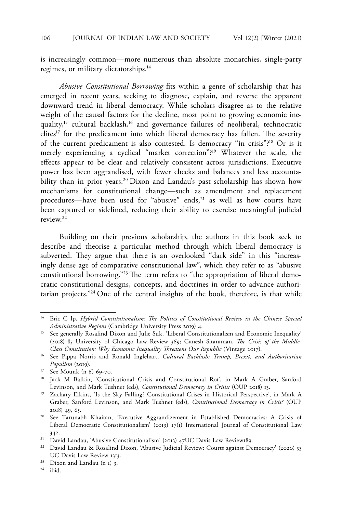is increasingly common—more numerous than absolute monarchies, single-party regimes, or military dictatorships.<sup>14</sup>

*Abusive Constitutional Borrowing* fits within a genre of scholarship that has emerged in recent years, seeking to diagnose, explain, and reverse the apparent downward trend in liberal democracy. While scholars disagree as to the relative weight of the causal factors for the decline, most point to growing economic inequality,<sup>15</sup> cultural backlash,<sup>16</sup> and governance failures of neoliberal, technocratic elites<sup>17</sup> for the predicament into which liberal democracy has fallen. The severity of the current predicament is also contested. Is democracy "in crisis"?18 Or is it merely experiencing a cyclical "market correction"?19 Whatever the scale, the effects appear to be clear and relatively consistent across jurisdictions. Executive power has been aggrandised, with fewer checks and balances and less accountability than in prior years.<sup>20</sup> Dixon and Landau's past scholarship has shown how mechanisms for constitutional change—such as amendment and replacement procedures—have been used for "abusive" ends,<sup>21</sup> as well as how courts have been captured or sidelined, reducing their ability to exercise meaningful judicial review<sup>22</sup>

Building on their previous scholarship, the authors in this book seek to describe and theorise a particular method through which liberal democracy is subverted. They argue that there is an overlooked "dark side" in this "increasingly dense age of comparative constitutional law", which they refer to as "abusive constitutional borrowing."23 The term refers to "the appropriation of liberal democratic constitutional designs, concepts, and doctrines in order to advance authoritarian projects."24 One of the central insights of the book, therefore, is that while

<sup>24</sup> ibid.

<sup>14</sup> Eric C Ip, *Hybrid Constitutionalism: The Politics of Constitutional Review in the Chinese Special Administrative Regions* (Cambridge University Press 2019) 4.

<sup>&</sup>lt;sup>15</sup> See generally Rosalind Dixon and Julie Suk, 'Liberal Constitutionalism and Economic Inequality' (2018) 85 University of Chicago Law Review 369; Ganesh Sitaraman, *The Crisis of the Middle-Class Constitution: Why Economic Inequality Threatens Our Republic* (Vintage 2017).

<sup>16</sup> See Pippa Norris and Ronald Inglehart, *Cultural Backlash: Trump, Brexit, and Authoritarian Populism* (2019).

<sup>17</sup> See Mounk (n 6) 69-70.

<sup>&</sup>lt;sup>18</sup> Jack M Balkin, 'Constitutional Crisis and Constitutional Rot', in Mark A Graber, Sanford Levinson, and Mark Tushnet (eds), *Constitutional Democracy in Crisis?* (OUP 2018) 13.

<sup>&</sup>lt;sup>19</sup> Zachary Elkins, 'Is the Sky Falling? Constitutional Crises in Historical Perspective', in Mark A Graber, Sanford Levinson, and Mark Tushnet (eds), *Constitutional Democracy in Crisis?* (OUP 2018) 49, 65.

<sup>20</sup> See Tarunabh Khaitan, 'Executive Aggrandizement in Established Democracies: A Crisis of Liberal Democratic Constitutionalism<sup>7</sup> (2019) 17(1) International Journal of Constitutional Law 342.

<sup>&</sup>lt;sup>21</sup> David Landau, 'Abusive Constitutionalism' (2013) 47UC Davis Law Review189.

<sup>&</sup>lt;sup>22</sup> David Landau & Rosalind Dixon, 'Abusive Judicial Review: Courts against Democracy' (2020) 53 UC Davis Law Review 1313.

<sup>23</sup> Dixon and Landau (n 1) 3.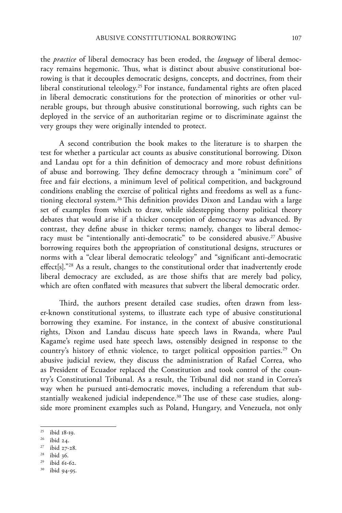the *practice* of liberal democracy has been eroded, the *language* of liberal democracy remains hegemonic. Thus, what is distinct about abusive constitutional borrowing is that it decouples democratic designs, concepts, and doctrines, from their liberal constitutional teleology.<sup>25</sup> For instance, fundamental rights are often placed in liberal democratic constitutions for the protection of minorities or other vulnerable groups, but through abusive constitutional borrowing, such rights can be deployed in the service of an authoritarian regime or to discriminate against the very groups they were originally intended to protect.

A second contribution the book makes to the literature is to sharpen the test for whether a particular act counts as abusive constitutional borrowing. Dixon and Landau opt for a thin definition of democracy and more robust definitions of abuse and borrowing. They define democracy through a "minimum core" of free and fair elections, a minimum level of political competition, and background conditions enabling the exercise of political rights and freedoms as well as a functioning electoral system.26 This definition provides Dixon and Landau with a large set of examples from which to draw, while sidestepping thorny political theory debates that would arise if a thicker conception of democracy was advanced. By contrast, they define abuse in thicker terms; namely, changes to liberal democracy must be "intentionally anti-democratic" to be considered abusive.<sup>27</sup> Abusive borrowing requires both the appropriation of constitutional designs, structures or norms with a "clear liberal democratic teleology" and "significant anti-democratic effect[s]."28 As a result, changes to the constitutional order that inadvertently erode liberal democracy are excluded, as are those shifts that are merely bad policy, which are often conflated with measures that subvert the liberal democratic order.

Third, the authors present detailed case studies, often drawn from lesser-known constitutional systems, to illustrate each type of abusive constitutional borrowing they examine. For instance, in the context of abusive constitutional rights, Dixon and Landau discuss hate speech laws in Rwanda, where Paul Kagame's regime used hate speech laws, ostensibly designed in response to the country's history of ethnic violence, to target political opposition parties.<sup>29</sup> On abusive judicial review, they discuss the administration of Rafael Correa, who as President of Ecuador replaced the Constitution and took control of the country's Constitutional Tribunal. As a result, the Tribunal did not stand in Correa's way when he pursued anti-democratic moves, including a referendum that substantially weakened judicial independence.<sup>30</sup> The use of these case studies, alongside more prominent examples such as Poland, Hungary, and Venezuela, not only

<sup>25</sup> ibid 18-19.

<sup>26</sup> ibid 24.

<sup>27</sup> ibid 27-28.

 $^{28}$  ibid 36.

 $^{29}$  ibid 61-62.

ibid 94-95.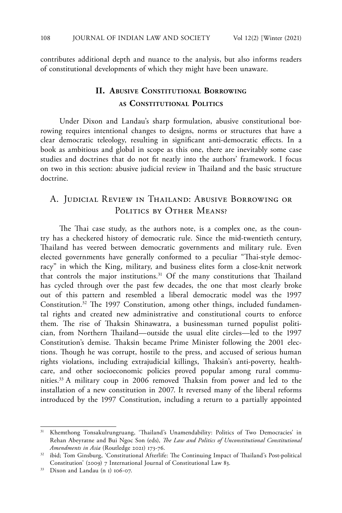contributes additional depth and nuance to the analysis, but also informs readers of constitutional developments of which they might have been unaware.

# **II. Abusive Constitutional Borrowing as Constitutional Politics**

Under Dixon and Landau's sharp formulation, abusive constitutional borrowing requires intentional changes to designs, norms or structures that have a clear democratic teleology, resulting in significant anti-democratic effects. In a book as ambitious and global in scope as this one, there are inevitably some case studies and doctrines that do not fit neatly into the authors' framework. I focus on two in this section: abusive judicial review in Thailand and the basic structure doctrine.

# A. Judicial Review in Thailand: Abusive Borrowing or POLITICS BY OTHER MEANS?

The Thai case study, as the authors note, is a complex one, as the country has a checkered history of democratic rule. Since the mid-twentieth century, Thailand has veered between democratic governments and military rule. Even elected governments have generally conformed to a peculiar "Thai-style democracy" in which the King, military, and business elites form a close-knit network that controls the major institutions.<sup>31</sup> Of the many constitutions that Thailand has cycled through over the past few decades, the one that most clearly broke out of this pattern and resembled a liberal democratic model was the 1997 Constitution.32 The 1997 Constitution, among other things, included fundamental rights and created new administrative and constitutional courts to enforce them. The rise of Thaksin Shinawatra, a businessman turned populist politician, from Northern Thailand—outside the usual elite circles—led to the 1997 Constitution's demise. Thaksin became Prime Minister following the 2001 elections. Though he was corrupt, hostile to the press, and accused of serious human rights violations, including extrajudicial killings, Thaksin's anti-poverty, healthcare, and other socioeconomic policies proved popular among rural communities.33 A military coup in 2006 removed Thaksin from power and led to the installation of a new constitution in 2007. It reversed many of the liberal reforms introduced by the 1997 Constitution, including a return to a partially appointed

<sup>31</sup> Khemthong Tonsakulrungruang, 'Thailand's Unamendability: Politics of Two Democracies' in Rehan Abeyratne and Bui Ngoc Son (eds), *The Law and Politics of Unconstitutional Constitutional Amendments in Asia* (Routledge 2021) 173-76.

<sup>32</sup> ibid; Tom Ginsburg, 'Constitutional Afterlife: The Continuing Impact of Thailand's Post-political Constitution' (2009) 7 International Journal of Constitutional Law 83.

<sup>33</sup> Dixon and Landau (n 1) 106-07.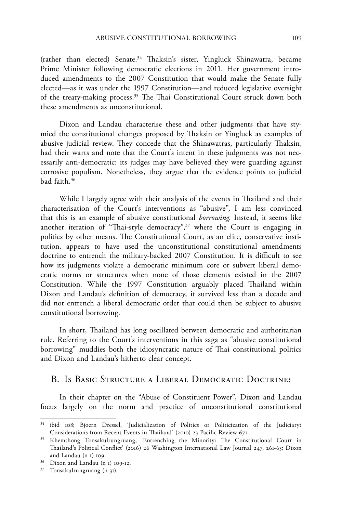(rather than elected) Senate.<sup>34</sup> Thaksin's sister, Yingluck Shinawatra, became Prime Minister following democratic elections in 2011. Her government introduced amendments to the 2007 Constitution that would make the Senate fully elected—as it was under the 1997 Constitution—and reduced legislative oversight of the treaty-making process.35 The Thai Constitutional Court struck down both these amendments as unconstitutional.

Dixon and Landau characterise these and other judgments that have stymied the constitutional changes proposed by Thaksin or Yingluck as examples of abusive judicial review. They concede that the Shinawatras, particularly Thaksin, had their warts and note that the Court's intent in these judgments was not necessarily anti-democratic: its judges may have believed they were guarding against corrosive populism. Nonetheless, they argue that the evidence points to judicial bad faith.36

While I largely agree with their analysis of the events in Thailand and their characterisation of the Court's interventions as "abusive", I am less convinced that this is an example of abusive constitutional *borrowing*. Instead, it seems like another iteration of "Thai-style democracy",<sup>37</sup> where the Court is engaging in politics by other means. The Constitutional Court, as an elite, conservative institution, appears to have used the unconstitutional constitutional amendments doctrine to entrench the military-backed 2007 Constitution. It is difficult to see how its judgments violate a democratic minimum core or subvert liberal democratic norms or structures when none of those elements existed in the 2007 Constitution. While the 1997 Constitution arguably placed Thailand within Dixon and Landau's definition of democracy, it survived less than a decade and did not entrench a liberal democratic order that could then be subject to abusive constitutional borrowing.

In short, Thailand has long oscillated between democratic and authoritarian rule. Referring to the Court's interventions in this saga as "abusive constitutional borrowing" muddies both the idiosyncratic nature of Thai constitutional politics and Dixon and Landau's hitherto clear concept.

#### B. Is Basic Structure a Liberal Democratic Doctrine?

In their chapter on the "Abuse of Constituent Power", Dixon and Landau focus largely on the norm and practice of unconstitutional constitutional

<sup>&</sup>lt;sup>34</sup> ibid 108; Bjoern Dressel, 'Judicialization of Politics or Politicization of the Judiciary? Considerations from Recent Events in Thailand' (2010) 23 Pacific Review 671.

<sup>35</sup> Khemthong Tonsakulrungruang, 'Entrenching the Minority: The Constitutional Court in Thailand's Political Conflict' (2016) 26 Washington International Law Journal 247, 261-63; Dixon and Landau (n 1) 109.

<sup>36</sup> Dixon and Landau (n 1) 109-12.

<sup>37</sup> Tonsakulrungruang (n 31).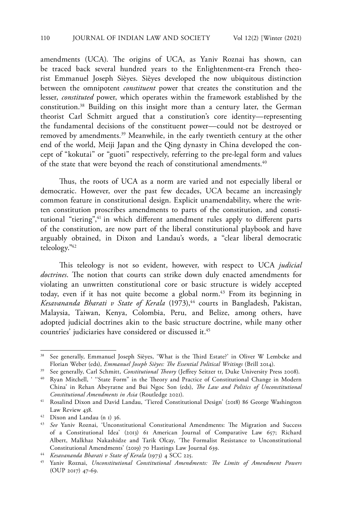amendments (UCA). The origins of UCA, as Yaniv Roznai has shown, can be traced back several hundred years to the Enlightenment-era French theorist Emmanuel Joseph Sièyes. Sièyes developed the now ubiquitous distinction between the omnipotent *constituent* power that creates the constitution and the lesser, *constituted* power, which operates within the framework established by the constitution.38 Building on this insight more than a century later, the German theorist Carl Schmitt argued that a constitution's core identity—representing the fundamental decisions of the constituent power—could not be destroyed or removed by amendments.39 Meanwhile, in the early twentieth century at the other end of the world, Meiji Japan and the Qing dynasty in China developed the concept of "kokutai" or "guoti" respectively, referring to the pre-legal form and values of the state that were beyond the reach of constitutional amendments.<sup>40</sup>

Thus, the roots of UCA as a norm are varied and not especially liberal or democratic. However, over the past few decades, UCA became an increasingly common feature in constitutional design. Explicit unamendability, where the written constitution proscribes amendments to parts of the constitution, and constitutional "tiering",<sup>41</sup> in which different amendment rules apply to different parts of the constitution, are now part of the liberal constitutional playbook and have arguably obtained, in Dixon and Landau's words, a "clear liberal democratic teleology."42

This teleology is not so evident, however, with respect to UCA *judicial doctrines*. The notion that courts can strike down duly enacted amendments for violating an unwritten constitutional core or basic structure is widely accepted today, even if it has not quite become a global norm.<sup>43</sup> From its beginning in *Kesavananda Bharati v State of Kerala* (1973),<sup>44</sup> courts in Bangladesh, Pakistan, Malaysia, Taiwan, Kenya, Colombia, Peru, and Belize, among others, have adopted judicial doctrines akin to the basic structure doctrine, while many other countries' judiciaries have considered or discussed it.45

<sup>38</sup> See generally, Emmanuel Joseph Sièyes, 'What is the Third Estate?' in Oliver W Lembcke and Florian Weber (eds), *Emmanuel Joseph Sièyes: The Essential Political Writings* (Brill 2014).

<sup>39</sup> See generally, Carl Schmitt, *Constitutional Theory* (Jeffrey Seitzer tr, Duke University Press 2008).

<sup>40</sup> Ryan Mitchell, ' ''State Form" in the Theory and Practice of Constitutional Change in Modern China' in Rehan Abeyratne and Bui Ngoc Son (eds), *The Law and Politics of Unconstitutional Constitutional Amendments in Asia* (Routledge 2021).

<sup>41</sup> Rosalind Dixon and David Landau, 'Tiered Constitutional Design' (2018) 86 George Washington Law Review 438.

<sup>42</sup> Dixon and Landau (n 1) 36.

<sup>43</sup> *See* Yaniv Roznai, 'Unconstitutional Constitutional Amendments: The Migration and Success of a Constitutional Idea' (2013) 61 American Journal of Comparative Law 657; Richard Albert, Malkhaz Nakashidze and Tarik Olcay, 'The Formalist Resistance to Unconstitutional Constitutional Amendments' (2019) 70 Hastings Law Journal 639.

<sup>44</sup> *Kesavananda Bharati v State of Kerala* (1973) 4 SCC 225.

<sup>45</sup> Yaniv Roznai, *Unconstitutional Constitutional Amendments: The Limits of Amendment Powers* (OUP 2017) 47-69.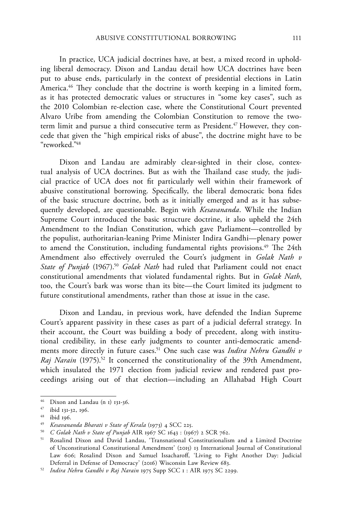In practice, UCA judicial doctrines have, at best, a mixed record in upholding liberal democracy. Dixon and Landau detail how UCA doctrines have been put to abuse ends, particularly in the context of presidential elections in Latin America.<sup>46</sup> They conclude that the doctrine is worth keeping in a limited form, as it has protected democratic values or structures in "some key cases", such as the 2010 Colombian re-election case, where the Constitutional Court prevented Alvaro Uribe from amending the Colombian Constitution to remove the twoterm limit and pursue a third consecutive term as President.<sup>47</sup> However, they concede that given the "high empirical risks of abuse", the doctrine might have to be "reworked."48

Dixon and Landau are admirably clear-sighted in their close, contextual analysis of UCA doctrines. But as with the Thailand case study, the judicial practice of UCA does not fit particularly well within their framework of abusive constitutional borrowing. Specifically, the liberal democratic bona fides of the basic structure doctrine, both as it initially emerged and as it has subsequently developed, are questionable. Begin with *Kesavananda*. While the Indian Supreme Court introduced the basic structure doctrine, it also upheld the 24th Amendment to the Indian Constitution, which gave Parliament—controlled by the populist, authoritarian-leaning Prime Minister Indira Gandhi—plenary power to amend the Constitution, including fundamental rights provisions.<sup>49</sup> The 24th Amendment also effectively overruled the Court's judgment in *Golak Nath v State of Punjab* (1967).<sup>50</sup> *Golak Nath* had ruled that Parliament could not enact constitutional amendments that violated fundamental rights. But in *Golak Nath*, too, the Court's bark was worse than its bite—the Court limited its judgment to future constitutional amendments, rather than those at issue in the case.

Dixon and Landau, in previous work, have defended the Indian Supreme Court's apparent passivity in these cases as part of a judicial deferral strategy. In their account, the Court was building a body of precedent, along with institutional credibility, in these early judgments to counter anti-democratic amendments more directly in future cases.51 One such case was *Indira Nehru Gandhi v Raj Narain* (1975).<sup>52</sup> It concerned the constitutionality of the 39th Amendment, which insulated the 1971 election from judicial review and rendered past proceedings arising out of that election—including an Allahabad High Court

<sup>46</sup> Dixon and Landau (n 1) 131-36.

<sup>47</sup> ibid 131-32, 196.

<sup>48</sup> ibid 196.

<sup>49</sup> *Kesavananda Bharati v State of Kerala* (1973) 4 SCC 225.

<sup>50</sup> *C Golak Nath v State of Punjab* AIR 1967 SC 1643 : (1967) 2 SCR 762.

<sup>51</sup> Rosalind Dixon and David Landau, 'Transnational Constitutionalism and a Limited Doctrine of Unconstitutional Constitutional Amendment' (2015) 13 International Journal of Constitutional Law 606; Rosalind Dixon and Samuel Issacharoff, 'Living to Fight Another Day: Judicial Deferral in Defense of Democracy' (2016) Wisconsin Law Review 683.

<sup>52</sup> *Indira Nehru Gandhi v Raj Narain* 1975 Supp SCC 1 : AIR 1975 SC 2299.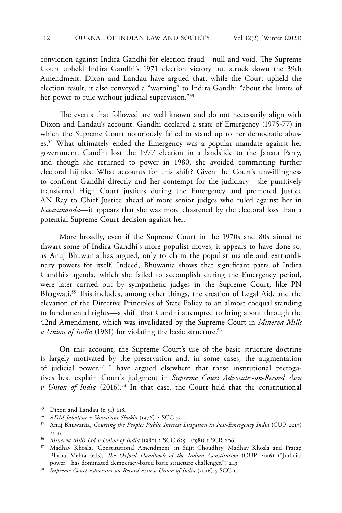conviction against Indira Gandhi for election fraud—null and void. The Supreme Court upheld Indira Gandhi's 1971 election victory but struck down the 39th Amendment. Dixon and Landau have argued that, while the Court upheld the election result, it also conveyed a "warning" to Indira Gandhi "about the limits of her power to rule without judicial supervision."<sup>53</sup>

The events that followed are well known and do not necessarily align with Dixon and Landau's account. Gandhi declared a state of Emergency (1975-77) in which the Supreme Court notoriously failed to stand up to her democratic abuses.54 What ultimately ended the Emergency was a popular mandate against her government. Gandhi lost the 1977 election in a landslide to the Janata Party, and though she returned to power in 1980, she avoided committing further electoral hijinks. What accounts for this shift? Given the Court's unwillingness to confront Gandhi directly and her contempt for the judiciary—she punitively transferred High Court justices during the Emergency and promoted Justice AN Ray to Chief Justice ahead of more senior judges who ruled against her in *Kesavananda*—it appears that she was more chastened by the electoral loss than a potential Supreme Court decision against her.

More broadly, even if the Supreme Court in the 1970s and 80s aimed to thwart some of Indira Gandhi's more populist moves, it appears to have done so, as Anuj Bhuwania has argued, only to claim the populist mantle and extraordinary powers for itself. Indeed, Bhuwania shows that significant parts of Indira Gandhi's agenda, which she failed to accomplish during the Emergency period, were later carried out by sympathetic judges in the Supreme Court, like PN Bhagwati.55 This includes, among other things, the creation of Legal Aid, and the elevation of the Directive Principles of State Policy to an almost coequal standing to fundamental rights—a shift that Gandhi attempted to bring about through the 42nd Amendment, which was invalidated by the Supreme Court in *Minerva Mills v Union of India* (1981) for violating the basic structure.<sup>56</sup>

On this account, the Supreme Court's use of the basic structure doctrine is largely motivated by the preservation and, in some cases, the augmentation of judicial power.<sup>57</sup> I have argued elsewhere that these institutional prerogatives best explain Court's judgment in *Supreme Court Advocates-on-Record Assn v Union of India* (2016).58 In that case, the Court held that the constitutional

<sup>53</sup> Dixon and Landau (n 51) 618.

<sup>54</sup> *ADM Jabalpur v Shivakant Shukla* (1976) 2 SCC 521.

<sup>55</sup> Anuj Bhuwania, *Courting the People: Public Interest Litigation in Post-Emergency India* (CUP 2017) 21-35.

<sup>56</sup> *Minerva Mills Ltd v Union of India* (1980) 3 SCC 625 : (1981) 1 SCR 206.

<sup>57</sup> Madhav Khosla, 'Constitutional Amendment' in Sujit Choudhry, Madhav Khosla and Pratap Bhanu Mehta (eds), *The Oxford Handbook of the Indian Constitution* (OUP 2016) ("Judicial power…has dominated democracy-based basic structure challenges.") 243.

<sup>58</sup> *Supreme Court Advocates-on-Record Assn v Union of India* (2016) 5 SCC 1.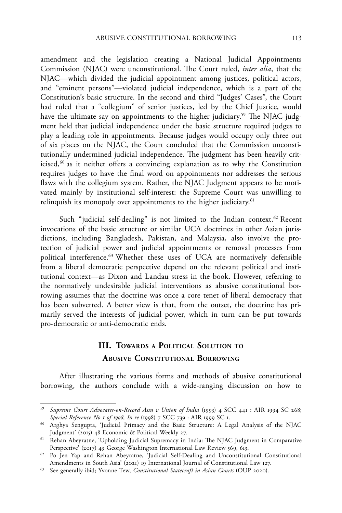amendment and the legislation creating a National Judicial Appointments Commission (NJAC) were unconstitutional. The Court ruled, *inter alia*, that the NJAC—which divided the judicial appointment among justices, political actors, and "eminent persons"—violated judicial independence, which is a part of the Constitution's basic structure. In the second and third "Judges' Cases", the Court had ruled that a "collegium" of senior justices, led by the Chief Justice, would have the ultimate say on appointments to the higher judiciary.<sup>59</sup> The NJAC judgment held that judicial independence under the basic structure required judges to play a leading role in appointments. Because judges would occupy only three out of six places on the NJAC, the Court concluded that the Commission unconstitutionally undermined judicial independence. The judgment has been heavily criticised,<sup>60</sup> as it neither offers a convincing explanation as to why the Constitution requires judges to have the final word on appointments nor addresses the serious flaws with the collegium system. Rather, the NJAC Judgment appears to be motivated mainly by institutional self-interest: the Supreme Court was unwilling to relinquish its monopoly over appointments to the higher judiciary.<sup>61</sup>

Such "judicial self-dealing" is not limited to the Indian context.<sup>62</sup> Recent invocations of the basic structure or similar UCA doctrines in other Asian jurisdictions, including Bangladesh, Pakistan, and Malaysia, also involve the protection of judicial power and judicial appointments or removal processes from political interference.<sup>63</sup> Whether these uses of UCA are normatively defensible from a liberal democratic perspective depend on the relevant political and institutional context—as Dixon and Landau stress in the book. However, referring to the normatively undesirable judicial interventions as abusive constitutional borrowing assumes that the doctrine was once a core tenet of liberal democracy that has been subverted. A better view is that, from the outset, the doctrine has primarily served the interests of judicial power, which in turn can be put towards pro-democratic or anti-democratic ends.

## **III. Towards <sup>a</sup> Political Solution to Abusive Constitutional Borrowing**

After illustrating the various forms and methods of abusive constitutional borrowing, the authors conclude with a wide-ranging discussion on how to

<sup>59</sup> *Supreme Court Advocates-on-Record Assn v Union of India* (1993) 4 SCC 441 : AIR 1994 SC 268; *Special Reference No 1 of 1998, In re* (1998) 7 SCC 739 : AIR 1999 SC 1.

<sup>60</sup> Arghya Sengupta, 'Judicial Primacy and the Basic Structure: A Legal Analysis of the NJAC Judgment' (2015) 48 Economic & Political Weekly 27.

<sup>61</sup> Rehan Abeyratne, 'Upholding Judicial Supremacy in India: The NJAC Judgment in Comparative Perspective' (2017) 49 George Washington International Law Review 569, 613.

<sup>62</sup> Po Jen Yap and Rehan Abeyratne, 'Judicial Self-Dealing and Unconstitutional Constitutional Amendments in South Asia' (2021) 19 International Journal of Constitutional Law 127.

<sup>63</sup> See generally ibid; Yvonne Tew, *Constitutional Statecraft in Asian Courts* (OUP 2020).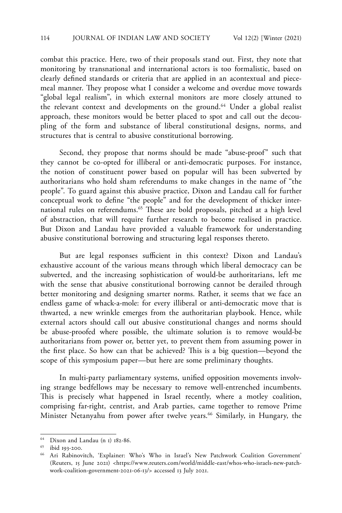combat this practice. Here, two of their proposals stand out. First, they note that monitoring by transnational and international actors is too formalistic, based on clearly defined standards or criteria that are applied in an acontextual and piecemeal manner. They propose what I consider a welcome and overdue move towards "global legal realism", in which external monitors are more closely attuned to the relevant context and developments on the ground.<sup>64</sup> Under a global realist approach, these monitors would be better placed to spot and call out the decoupling of the form and substance of liberal constitutional designs, norms, and structures that is central to abusive constitutional borrowing.

Second, they propose that norms should be made "abuse-proof" such that they cannot be co-opted for illiberal or anti-democratic purposes. For instance, the notion of constituent power based on popular will has been subverted by authoritarians who hold sham referendums to make changes in the name of "the people". To guard against this abusive practice, Dixon and Landau call for further conceptual work to define "the people" and for the development of thicker international rules on referendums.<sup>65</sup> These are bold proposals, pitched at a high level of abstraction, that will require further research to become realised in practice. But Dixon and Landau have provided a valuable framework for understanding abusive constitutional borrowing and structuring legal responses thereto.

But are legal responses sufficient in this context? Dixon and Landau's exhaustive account of the various means through which liberal democracy can be subverted, and the increasing sophistication of would-be authoritarians, left me with the sense that abusive constitutional borrowing cannot be derailed through better monitoring and designing smarter norms. Rather, it seems that we face an endless game of whack-a-mole: for every illiberal or anti-democratic move that is thwarted, a new wrinkle emerges from the authoritarian playbook. Hence, while external actors should call out abusive constitutional changes and norms should be abuse-proofed where possible, the ultimate solution is to remove would-be authoritarians from power or, better yet, to prevent them from assuming power in the first place. So how can that be achieved? This is a big question—beyond the scope of this symposium paper—but here are some preliminary thoughts.

In multi-party parliamentary systems, unified opposition movements involving strange bedfellows may be necessary to remove well-entrenched incumbents. This is precisely what happened in Israel recently, where a motley coalition, comprising far-right, centrist, and Arab parties, came together to remove Prime Minister Netanyahu from power after twelve years.<sup>66</sup> Similarly, in Hungary, the

<sup>64</sup> Dixon and Landau (n 1) 182-86.

<sup>65</sup> ibid 193-200.

<sup>66</sup> Ari Rabinovitch, 'Explainer: Who's Who in Israel's New Patchwork Coalition Government' (Reuters, 15 June 2021) <https://www.reuters.com/world/middle-east/whos-who-israels-new-patchwork-coalition-government-2021-06-13/> accessed 13 July 2021.